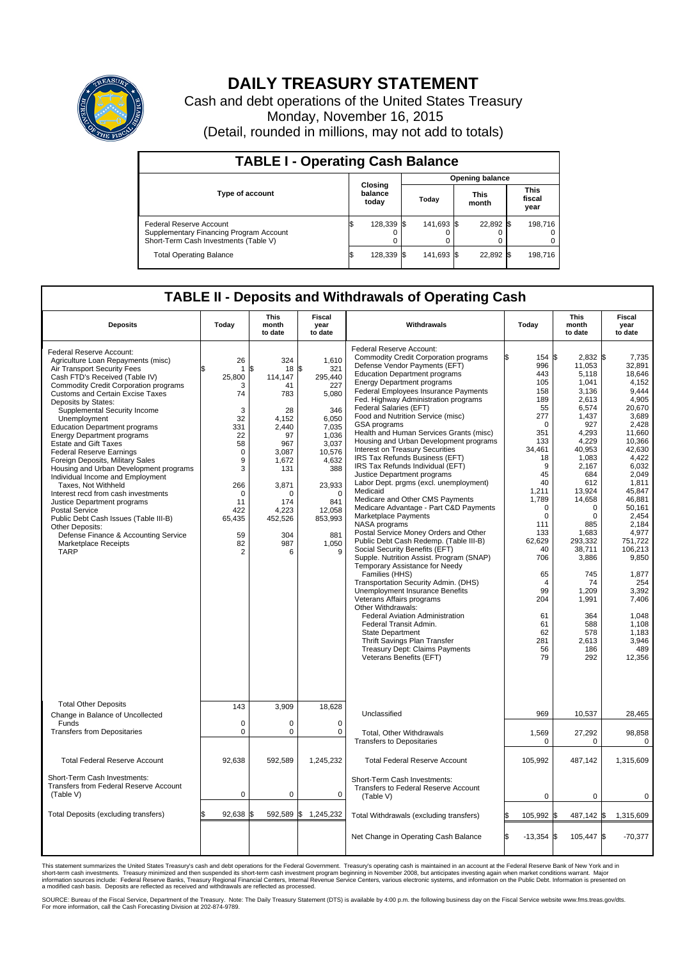

## **DAILY TREASURY STATEMENT**

Cash and debt operations of the United States Treasury Monday, November 16, 2015 (Detail, rounded in millions, may not add to totals)

| <b>TABLE I - Operating Cash Balance</b>                                                                     |    |                             |  |                        |  |                      |  |                               |  |  |  |
|-------------------------------------------------------------------------------------------------------------|----|-----------------------------|--|------------------------|--|----------------------|--|-------------------------------|--|--|--|
|                                                                                                             |    | Closing<br>balance<br>today |  | <b>Opening balance</b> |  |                      |  |                               |  |  |  |
| <b>Type of account</b>                                                                                      |    |                             |  | Today                  |  | <b>This</b><br>month |  | <b>This</b><br>fiscal<br>year |  |  |  |
| Federal Reserve Account<br>Supplementary Financing Program Account<br>Short-Term Cash Investments (Table V) |    | 128,339 \$                  |  | 141,693 \$             |  | 22,892 \$            |  | 198.716                       |  |  |  |
| <b>Total Operating Balance</b>                                                                              | IЭ | 128,339 \$                  |  | 141,693 \$             |  | 22,892 \$            |  | 198,716                       |  |  |  |

## **TABLE II - Deposits and Withdrawals of Operating Cash**

| <b>Deposits</b>                                                                                                                                                                                                                                                                                                                                                                                                                                                                                                                                                                                                                                                                                                                                                                                                                             | Today                                                                                                                                                       | This<br>month<br>to date                                                                                                                                          | <b>Fiscal</b><br>year<br>to date                                                                                                                                                          | Withdrawals                                                                                                                                                                                                                                                                                                                                                                                                                                                                                                                                                                                                                                                                                                                                                                                                                                                                                                                                                                                                                                                                                                                                                                                                                                                                                                                 | Today                                                                                                                                                                                                                                                                            | <b>This</b><br>month<br>to date                                                                                                                                                                                                                                                                    | Fiscal<br>year<br>to date                                                                                                                                                                                                                                                                                                         |
|---------------------------------------------------------------------------------------------------------------------------------------------------------------------------------------------------------------------------------------------------------------------------------------------------------------------------------------------------------------------------------------------------------------------------------------------------------------------------------------------------------------------------------------------------------------------------------------------------------------------------------------------------------------------------------------------------------------------------------------------------------------------------------------------------------------------------------------------|-------------------------------------------------------------------------------------------------------------------------------------------------------------|-------------------------------------------------------------------------------------------------------------------------------------------------------------------|-------------------------------------------------------------------------------------------------------------------------------------------------------------------------------------------|-----------------------------------------------------------------------------------------------------------------------------------------------------------------------------------------------------------------------------------------------------------------------------------------------------------------------------------------------------------------------------------------------------------------------------------------------------------------------------------------------------------------------------------------------------------------------------------------------------------------------------------------------------------------------------------------------------------------------------------------------------------------------------------------------------------------------------------------------------------------------------------------------------------------------------------------------------------------------------------------------------------------------------------------------------------------------------------------------------------------------------------------------------------------------------------------------------------------------------------------------------------------------------------------------------------------------------|----------------------------------------------------------------------------------------------------------------------------------------------------------------------------------------------------------------------------------------------------------------------------------|----------------------------------------------------------------------------------------------------------------------------------------------------------------------------------------------------------------------------------------------------------------------------------------------------|-----------------------------------------------------------------------------------------------------------------------------------------------------------------------------------------------------------------------------------------------------------------------------------------------------------------------------------|
| Federal Reserve Account:<br>Agriculture Loan Repayments (misc)<br>Air Transport Security Fees<br>Cash FTD's Received (Table IV)<br><b>Commodity Credit Corporation programs</b><br><b>Customs and Certain Excise Taxes</b><br>Deposits by States:<br>Supplemental Security Income<br>Unemployment<br><b>Education Department programs</b><br><b>Energy Department programs</b><br><b>Estate and Gift Taxes</b><br><b>Federal Reserve Earnings</b><br>Foreign Deposits, Military Sales<br>Housing and Urban Development programs<br>Individual Income and Employment<br>Taxes. Not Withheld<br>Interest recd from cash investments<br>Justice Department programs<br><b>Postal Service</b><br>Public Debt Cash Issues (Table III-B)<br>Other Deposits:<br>Defense Finance & Accounting Service<br><b>Marketplace Receipts</b><br><b>TARP</b> | 26<br>1<br>25,800<br>3<br>74<br>3<br>32<br>331<br>22<br>58<br>$\mathbf 0$<br>9<br>3<br>266<br>$\Omega$<br>11<br>422<br>65,435<br>59<br>82<br>$\overline{2}$ | 324<br>\$<br>18<br>114,147<br>41<br>783<br>28<br>4.152<br>2,440<br>97<br>967<br>3,087<br>1.672<br>131<br>3,871<br>U<br>174<br>4,223<br>452,526<br>304<br>987<br>6 | 1,610<br>\$<br>321<br>295,440<br>227<br>5,080<br>346<br>6.050<br>7,035<br>1,036<br>3,037<br>10,576<br>4,632<br>388<br>23,933<br>$\Omega$<br>841<br>12,058<br>853,993<br>881<br>1,050<br>9 | Federal Reserve Account:<br><b>Commodity Credit Corporation programs</b><br>Defense Vendor Payments (EFT)<br><b>Education Department programs</b><br><b>Energy Department programs</b><br><b>Federal Employees Insurance Payments</b><br>Fed. Highway Administration programs<br>Federal Salaries (EFT)<br>Food and Nutrition Service (misc)<br>GSA programs<br>Health and Human Services Grants (misc)<br>Housing and Urban Development programs<br>Interest on Treasury Securities<br>IRS Tax Refunds Business (EFT)<br>IRS Tax Refunds Individual (EFT)<br>Justice Department programs<br>Labor Dept. prgms (excl. unemployment)<br>Medicaid<br>Medicare and Other CMS Payments<br>Medicare Advantage - Part C&D Payments<br>Marketplace Payments<br>NASA programs<br>Postal Service Money Orders and Other<br>Public Debt Cash Redemp. (Table III-B)<br>Social Security Benefits (EFT)<br>Supple. Nutrition Assist. Program (SNAP)<br>Temporary Assistance for Needy<br>Families (HHS)<br>Transportation Security Admin. (DHS)<br>Unemployment Insurance Benefits<br>Veterans Affairs programs<br>Other Withdrawals:<br><b>Federal Aviation Administration</b><br>Federal Transit Admin.<br><b>State Department</b><br>Thrift Savings Plan Transfer<br><b>Treasury Dept: Claims Payments</b><br>Veterans Benefits (EFT) | 154 \$<br>996<br>443<br>105<br>158<br>189<br>55<br>277<br>$\Omega$<br>351<br>133<br>34,461<br>18<br>9<br>45<br>40<br>1,211<br>1,789<br>$\mathbf 0$<br>$\mathbf 0$<br>111<br>133<br>62,629<br>40<br>706<br>65<br>$\overline{4}$<br>99<br>204<br>61<br>61<br>62<br>281<br>56<br>79 | 2,832 \$<br>11,053<br>5.118<br>1,041<br>3,136<br>2,613<br>6.574<br>1,437<br>927<br>4,293<br>4,229<br>40,953<br>1,083<br>2.167<br>684<br>612<br>13,924<br>14,658<br>0<br>0<br>885<br>1,683<br>293,332<br>38,711<br>3,886<br>745<br>74<br>1,209<br>1,991<br>364<br>588<br>578<br>2,613<br>186<br>292 | 7,735<br>32,891<br>18.646<br>4,152<br>9.444<br>4,905<br>20.670<br>3,689<br>2,428<br>11,660<br>10,366<br>42,630<br>4,422<br>6.032<br>2,049<br>1,811<br>45,847<br>46.881<br>50,161<br>2,454<br>2.184<br>4,977<br>751,722<br>106,213<br>9,850<br>1,877<br>254<br>3,392<br>7.406<br>1.048<br>1.108<br>1,183<br>3,946<br>489<br>12,356 |
| <b>Total Other Deposits</b><br>Change in Balance of Uncollected                                                                                                                                                                                                                                                                                                                                                                                                                                                                                                                                                                                                                                                                                                                                                                             | 143                                                                                                                                                         | 3,909                                                                                                                                                             | 18,628                                                                                                                                                                                    | Unclassified                                                                                                                                                                                                                                                                                                                                                                                                                                                                                                                                                                                                                                                                                                                                                                                                                                                                                                                                                                                                                                                                                                                                                                                                                                                                                                                | 969                                                                                                                                                                                                                                                                              | 10,537                                                                                                                                                                                                                                                                                             | 28,465                                                                                                                                                                                                                                                                                                                            |
| Funds<br><b>Transfers from Depositaries</b>                                                                                                                                                                                                                                                                                                                                                                                                                                                                                                                                                                                                                                                                                                                                                                                                 | $\mathbf 0$<br>0                                                                                                                                            | 0<br>0                                                                                                                                                            | $\mathbf 0$<br>0                                                                                                                                                                          | Total, Other Withdrawals<br><b>Transfers to Depositaries</b>                                                                                                                                                                                                                                                                                                                                                                                                                                                                                                                                                                                                                                                                                                                                                                                                                                                                                                                                                                                                                                                                                                                                                                                                                                                                | 1,569<br>$\mathbf 0$                                                                                                                                                                                                                                                             | 27,292<br>0                                                                                                                                                                                                                                                                                        | 98,858<br>$\mathbf 0$                                                                                                                                                                                                                                                                                                             |
| <b>Total Federal Reserve Account</b>                                                                                                                                                                                                                                                                                                                                                                                                                                                                                                                                                                                                                                                                                                                                                                                                        | 92,638                                                                                                                                                      | 592,589                                                                                                                                                           | 1,245,232                                                                                                                                                                                 | <b>Total Federal Reserve Account</b>                                                                                                                                                                                                                                                                                                                                                                                                                                                                                                                                                                                                                                                                                                                                                                                                                                                                                                                                                                                                                                                                                                                                                                                                                                                                                        | 105,992                                                                                                                                                                                                                                                                          | 487,142                                                                                                                                                                                                                                                                                            | 1,315,609                                                                                                                                                                                                                                                                                                                         |
| Short-Term Cash Investments:<br>Transfers from Federal Reserve Account<br>(Table V)                                                                                                                                                                                                                                                                                                                                                                                                                                                                                                                                                                                                                                                                                                                                                         | $\pmb{0}$                                                                                                                                                   | 0                                                                                                                                                                 | $\mathbf 0$                                                                                                                                                                               | Short-Term Cash Investments:<br>Transfers to Federal Reserve Account<br>(Table V)                                                                                                                                                                                                                                                                                                                                                                                                                                                                                                                                                                                                                                                                                                                                                                                                                                                                                                                                                                                                                                                                                                                                                                                                                                           | $\mathbf 0$                                                                                                                                                                                                                                                                      | $\mathbf 0$                                                                                                                                                                                                                                                                                        | 0                                                                                                                                                                                                                                                                                                                                 |
| Total Deposits (excluding transfers)                                                                                                                                                                                                                                                                                                                                                                                                                                                                                                                                                                                                                                                                                                                                                                                                        | 92,638<br>\$                                                                                                                                                | \$                                                                                                                                                                | 592,589 \$ 1,245,232                                                                                                                                                                      | Total Withdrawals (excluding transfers)                                                                                                                                                                                                                                                                                                                                                                                                                                                                                                                                                                                                                                                                                                                                                                                                                                                                                                                                                                                                                                                                                                                                                                                                                                                                                     | 105,992 \$                                                                                                                                                                                                                                                                       | 487,142 \$                                                                                                                                                                                                                                                                                         | 1,315,609                                                                                                                                                                                                                                                                                                                         |
|                                                                                                                                                                                                                                                                                                                                                                                                                                                                                                                                                                                                                                                                                                                                                                                                                                             |                                                                                                                                                             |                                                                                                                                                                   |                                                                                                                                                                                           | Net Change in Operating Cash Balance                                                                                                                                                                                                                                                                                                                                                                                                                                                                                                                                                                                                                                                                                                                                                                                                                                                                                                                                                                                                                                                                                                                                                                                                                                                                                        | Ŝ.<br>$-13,354$ \$                                                                                                                                                                                                                                                               | 105,447 \$                                                                                                                                                                                                                                                                                         | $-70,377$                                                                                                                                                                                                                                                                                                                         |

This statement summarizes the United States Treasury's cash and debt operations for the Federal Government. Treasury's operating cash is maintained in an account at the Federal Reserve Bank of New York and in<br>short-term ca

SOURCE: Bureau of the Fiscal Service, Department of the Treasury. Note: The Daily Treasury Statement (DTS) is available by 4:00 p.m. the following business day on the Fiscal Service website www.fms.treas.gov/dts.<br>For more